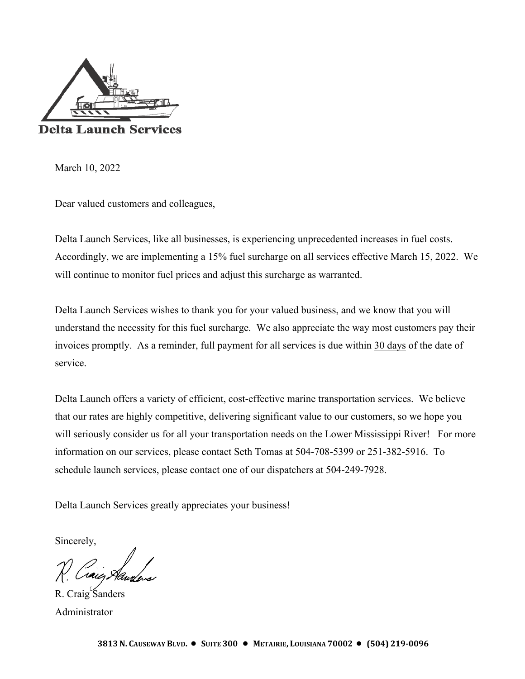

March 10, 2022

Dear valued customers and colleagues,

Delta Launch Services, like all businesses, is experiencing unprecedented increases in fuel costs. Accordingly, we are implementing a 15% fuel surcharge on all services effective March 15, 2022. We will continue to monitor fuel prices and adjust this surcharge as warranted.

Delta Launch Services wishes to thank you for your valued business, and we know that you will understand the necessity for this fuel surcharge. We also appreciate the way most customers pay their invoices promptly. As a reminder, full payment for all services is due within 30 days of the date of service.

Delta Launch offers a variety of efficient, cost-effective marine transportation services. We believe that our rates are highly competitive, delivering significant value to our customers, so we hope you will seriously consider us for all your transportation needs on the Lower Mississippi River! For more information on our services, please contact Seth Tomas at 504-708-5399 or 251-382-5916. To schedule launch services, please contact one of our dispatchers at 504-249-7928.

Delta Launch Services greatly appreciates your business!

Sincerely,

D<br>saic Sh

R. Craig Sanders Administrator